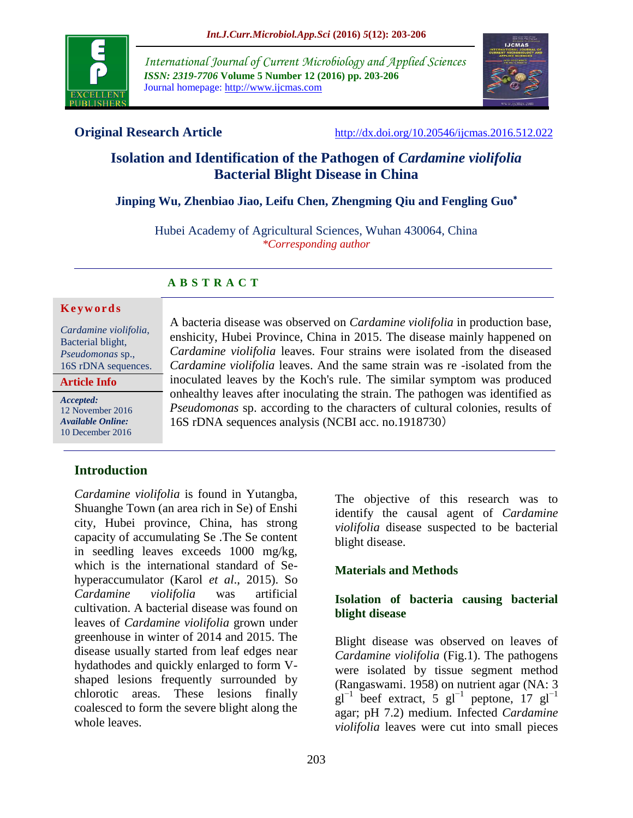

*International Journal of Current Microbiology and Applied Sciences ISSN: 2319-7706* **Volume 5 Number 12 (2016) pp. 203-206** Journal homepage: http://www.ijcmas.com



**Original Research Article** <http://dx.doi.org/10.20546/ijcmas.2016.512.022>

# **Isolation and Identification of the Pathogen of** *Cardamine violifolia* **Bacterial Blight Disease in China**

### **Jinping Wu, Zhenbiao Jiao, Leifu Chen, Zhengming Qiu and Fengling Guo**\*

Hubei Academy of Agricultural Sciences, Wuhan 430064, China *\*Corresponding author*

#### **A B S T R A C T**

#### **K e y w o r d s**

*Cardamine violifolia*, Bacterial blight, *Pseudomonas* sp., 16S rDNA sequences.

**Article Info**

*Accepted:*  12 November 2016 *Available Online:* 10 December 2016

## **Introduction**

*Cardamine violifolia* is found in Yutangba, Shuanghe Town (an area rich in Se) of Enshi city, Hubei province, China, has strong capacity of accumulating Se .The Se content in seedling leaves exceeds 1000 mg/kg, which is the international standard of Sehyperaccumulator (Karol *et al*., 2015). So *Cardamine violifolia* was artificial cultivation. A bacterial disease was found on leaves of *Cardamine violifolia* grown under greenhouse in winter of 2014 and 2015. The disease usually started from leaf edges near hydathodes and quickly enlarged to form Vshaped lesions frequently surrounded by chlorotic areas. These lesions finally coalesced to form the severe blight along the whole leaves.

A bacteria disease was observed on *Cardamine violifolia* in production base, enshicity, Hubei Province, China in 2015. The disease mainly happened on *Cardamine violifolia* leaves. Four strains were isolated from the diseased *Cardamine violifolia* leaves. And the same strain was re -isolated from the inoculated leaves by the Koch's rule. The similar symptom was produced onhealthy leaves after inoculating the strain. The pathogen was identified as *Pseudomonas* sp. according to the characters of cultural colonies, results of 16S rDNA sequences analysis (NCBI acc. no.1918730)

> The objective of this research was to identify the causal agent of *Cardamine violifolia* disease suspected to be bacterial blight disease.

#### **Materials and Methods**

#### **Isolation of bacteria causing bacterial blight disease**

Blight disease was observed on leaves of *Cardamine violifolia* (Fig.1). The pathogens were isolated by tissue segment method (Rangaswami. 1958) on nutrient agar (NA: 3  $gl^{-1}$  beef extract, 5  $gl^{-1}$  peptone, 17  $gl^{-1}$ agar; pH 7.2) medium. Infected *Cardamine violifolia* leaves were cut into small pieces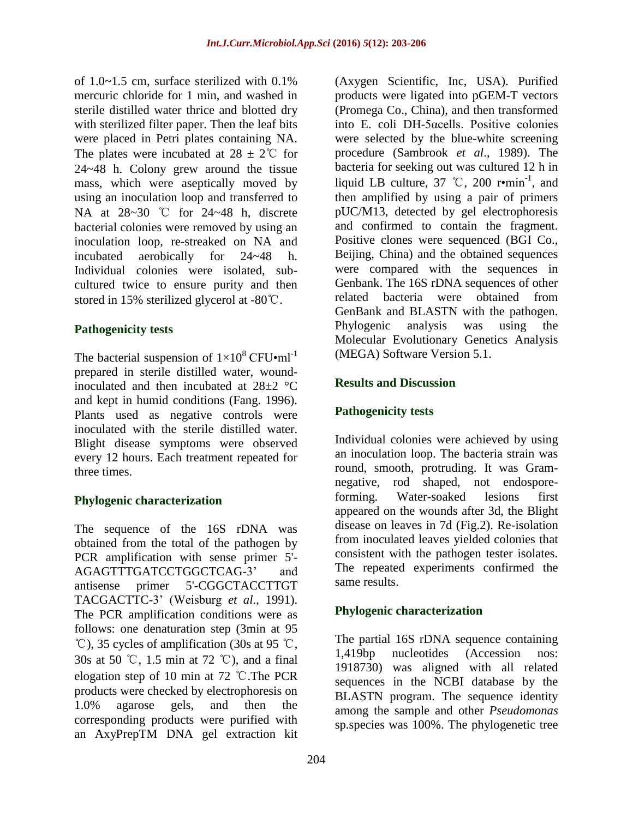of  $1.0 \sim 1.5$  cm, surface sterilized with  $0.1\%$ mercuric chloride for 1 min, and washed in sterile distilled water thrice and blotted dry with sterilized filter paper. Then the leaf bits were placed in Petri plates containing NA. The plates were incubated at  $28 \pm 2^{\circ}$  for 24~48 h. Colony grew around the tissue mass, which were aseptically moved by using an inoculation loop and transferred to NA at 28~30 ℃ for 24~48 h, discrete bacterial colonies were removed by using an inoculation loop, re-streaked on NA and incubated aerobically for 24~48 h. Individual colonies were isolated, subcultured twice to ensure purity and then stored in 15% sterilized glycerol at -80℃.

#### **Pathogenicity tests**

The bacterial suspension of  $1\times10^8$  CFU•ml<sup>-1</sup> prepared in sterile distilled water, woundinoculated and then incubated at 28±2 °C and kept in humid conditions (Fang. 1996). Plants used as negative controls were inoculated with the sterile distilled water. Blight disease symptoms were observed every 12 hours. Each treatment repeated for three times.

#### **Phylogenic characterization**

The sequence of the 16S rDNA was obtained from the total of the pathogen by PCR amplification with sense primer 5'- AGAGTTTGATCCTGGCTCAG-3' and antisense primer 5'-CGGCTACCTTGT TACGACTTC-3' (Weisburg *et al*., 1991). The PCR amplification conditions were as follows: one denaturation step (3min at 95 ℃), 35 cycles of amplification (30s at 95 ℃, 30s at 50 ℃, 1.5 min at 72 ℃), and a final elogation step of 10 min at 72 ℃.The PCR products were checked by electrophoresis on 1.0% agarose gels, and then the corresponding products were purified with an AxyPrepTM DNA gel extraction kit

(Axygen Scientific, Inc, USA). Purified products were ligated into pGEM-T vectors (Promega Co., China), and then transformed into E. coli DH-5αcells. Positive colonies were selected by the blue-white screening procedure (Sambrook *et al*., 1989). The bacteria for seeking out was cultured 12 h in liquid LB culture,  $37$  °C,  $200$  r•min<sup>-1</sup>, and then amplified by using a pair of primers pUC/M13, detected by gel electrophoresis and confirmed to contain the fragment. Positive clones were sequenced (BGI Co., Beijing, China) and the obtained sequences were compared with the sequences in Genbank. The 16S rDNA sequences of other related bacteria were obtained from GenBank and BLASTN with the pathogen. Phylogenic analysis was using the Molecular Evolutionary Genetics Analysis (MEGA) Software Version 5.1.

#### **Results and Discussion**

### **Pathogenicity tests**

Individual colonies were achieved by using an inoculation loop. The bacteria strain was round, smooth, protruding. It was Gramnegative, rod shaped, not endosporeforming. Water-soaked lesions first appeared on the wounds after 3d, the Blight disease on leaves in 7d (Fig.2). Re-isolation from inoculated leaves yielded colonies that consistent with the pathogen tester isolates. The repeated experiments confirmed the same results.

#### **Phylogenic characterization**

The partial 16S rDNA sequence containing 1,419bp nucleotides (Accession nos: 1918730) was aligned with all related sequences in the NCBI database by the BLASTN program. The sequence identity among the sample and other *Pseudomonas* sp.species was 100%. The phylogenetic tree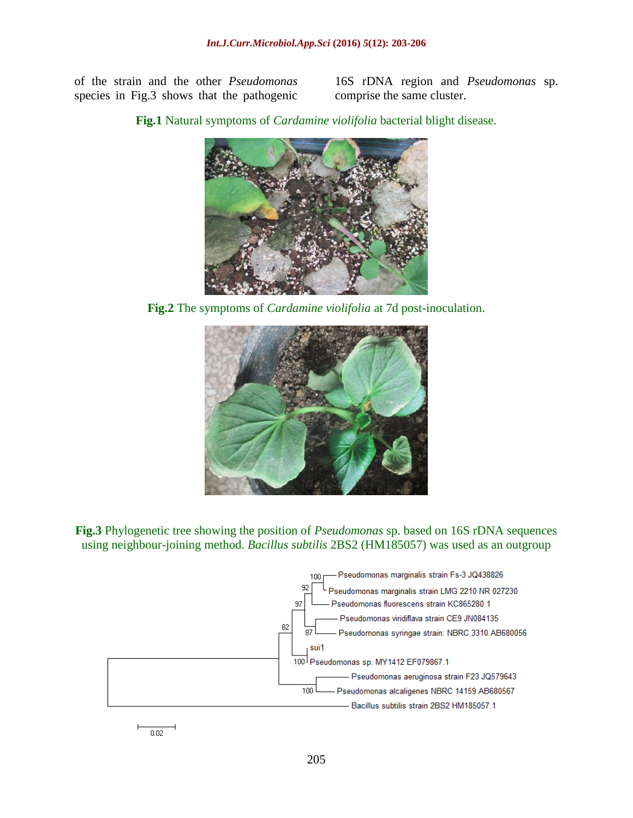of the strain and the other *Pseudomonas* species in Fig.3 shows that the pathogenic

16S rDNA region and *Pseudomonas* sp. comprise the same cluster.

**Fig.1** Natural symptoms of *Cardamine violifolia* bacterial blight disease.



**Fig.2** The symptoms of *Cardamine violifolia* at 7d post-inoculation.



**Fig.3** Phylogenetic tree showing the position of *Pseudomonas* sp. based on 16S rDNA sequences using neighbour-joining method. *Bacillus subtilis* 2BS2 (HM185057) was used as an outgroup



 $\overline{0.02}$